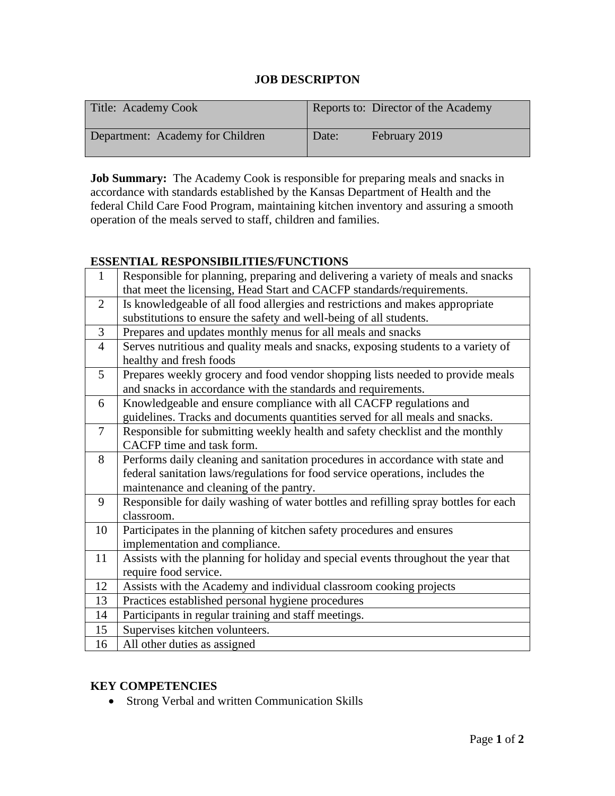## **JOB DESCRIPTON**

| Title: Academy Cook              | Reports to: Director of the Academy |
|----------------------------------|-------------------------------------|
| Department: Academy for Children | February 2019<br>Date:              |

**Job Summary:** The Academy Cook is responsible for preparing meals and snacks in accordance with standards established by the Kansas Department of Health and the federal Child Care Food Program, maintaining kitchen inventory and assuring a smooth operation of the meals served to staff, children and families.

## **ESSENTIAL RESPONSIBILITIES/FUNCTIONS**

| 1              | Responsible for planning, preparing and delivering a variety of meals and snacks    |  |
|----------------|-------------------------------------------------------------------------------------|--|
|                | that meet the licensing, Head Start and CACFP standards/requirements.               |  |
| 2              | Is knowledgeable of all food allergies and restrictions and makes appropriate       |  |
|                | substitutions to ensure the safety and well-being of all students.                  |  |
| 3              | Prepares and updates monthly menus for all meals and snacks                         |  |
| $\overline{4}$ | Serves nutritious and quality meals and snacks, exposing students to a variety of   |  |
|                | healthy and fresh foods                                                             |  |
| 5              | Prepares weekly grocery and food vendor shopping lists needed to provide meals      |  |
|                | and snacks in accordance with the standards and requirements.                       |  |
| 6              | Knowledgeable and ensure compliance with all CACFP regulations and                  |  |
|                | guidelines. Tracks and documents quantities served for all meals and snacks.        |  |
| $\tau$         | Responsible for submitting weekly health and safety checklist and the monthly       |  |
|                | CACFP time and task form.                                                           |  |
| 8              | Performs daily cleaning and sanitation procedures in accordance with state and      |  |
|                | federal sanitation laws/regulations for food service operations, includes the       |  |
|                | maintenance and cleaning of the pantry.                                             |  |
| 9              | Responsible for daily washing of water bottles and refilling spray bottles for each |  |
|                | classroom.                                                                          |  |
| 10             | Participates in the planning of kitchen safety procedures and ensures               |  |
|                | implementation and compliance.                                                      |  |
| 11             | Assists with the planning for holiday and special events throughout the year that   |  |
|                | require food service.                                                               |  |
| 12             | Assists with the Academy and individual classroom cooking projects                  |  |
| 13             | Practices established personal hygiene procedures                                   |  |
| 14             | Participants in regular training and staff meetings.                                |  |
| 15             | Supervises kitchen volunteers.                                                      |  |
| 16             | All other duties as assigned                                                        |  |

### **KEY COMPETENCIES**

• Strong Verbal and written Communication Skills